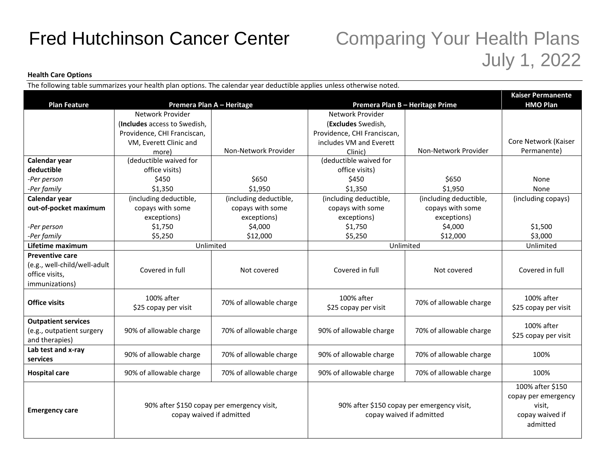## Fred Hutchinson Cancer Center Comparing Your Health Plans

## July 1, 2022

## **Health Care Options**

The following table summarizes your health plan options. The calendar year deductible applies unless otherwise noted.

|                                             |                                                                        | <b>Kaiser Permanente</b> |                                                                        |                         |                      |
|---------------------------------------------|------------------------------------------------------------------------|--------------------------|------------------------------------------------------------------------|-------------------------|----------------------|
| <b>Plan Feature</b>                         | Premera Plan A - Heritage                                              |                          | Premera Plan B - Heritage Prime                                        |                         | <b>HMO Plan</b>      |
|                                             | Network Provider                                                       |                          | Network Provider                                                       |                         |                      |
|                                             | (Includes access to Swedish.                                           |                          | (Excludes Swedish.                                                     |                         |                      |
|                                             | Providence, CHI Franciscan,                                            |                          | Providence, CHI Franciscan,                                            |                         |                      |
|                                             | VM, Everett Clinic and                                                 |                          | includes VM and Everett                                                |                         | Core Network (Kaiser |
|                                             | more)                                                                  | Non-Network Provider     | Clinic)                                                                | Non-Network Provider    | Permanente)          |
| Calendar year                               | (deductible waived for                                                 |                          | (deductible waived for                                                 |                         |                      |
| deductible                                  | office visits)                                                         |                          | office visits)                                                         |                         |                      |
| -Per person                                 | \$450                                                                  | \$650                    | \$450                                                                  | \$650                   | None                 |
| -Per family                                 | \$1,350                                                                | \$1.950                  | \$1,350                                                                | \$1,950                 | <b>None</b>          |
| Calendar year                               | (including deductible,                                                 | (including deductible,   | (including deductible,                                                 | (including deductible,  | (including copays)   |
| out-of-pocket maximum                       | copays with some                                                       | copays with some         | copays with some                                                       | copays with some        |                      |
|                                             | exceptions)                                                            | exceptions)              | exceptions)                                                            | exceptions)             |                      |
| -Per person                                 | \$1,750                                                                | \$4,000                  | \$1,750                                                                | \$4,000                 | \$1,500              |
| -Per family                                 | \$5,250                                                                | \$12,000                 | \$5,250                                                                | \$12,000                | \$3,000              |
| Lifetime maximum                            | Unlimited                                                              |                          | Unlimited                                                              |                         | Unlimited            |
| <b>Preventive care</b>                      |                                                                        |                          |                                                                        |                         |                      |
| (e.g., well-child/well-adult                | Covered in full                                                        | Not covered              | Covered in full                                                        | Not covered             | Covered in full      |
| office visits,                              |                                                                        |                          |                                                                        |                         |                      |
| immunizations)                              |                                                                        |                          |                                                                        |                         |                      |
|                                             | 100% after                                                             |                          | 100% after                                                             |                         | 100% after           |
| <b>Office visits</b>                        | \$25 copay per visit                                                   | 70% of allowable charge  | \$25 copay per visit                                                   | 70% of allowable charge | \$25 copay per visit |
|                                             |                                                                        |                          |                                                                        |                         |                      |
| <b>Outpatient services</b>                  |                                                                        |                          |                                                                        | 70% of allowable charge | 100% after           |
| (e.g., outpatient surgery<br>and therapies) | 90% of allowable charge                                                | 70% of allowable charge  | 90% of allowable charge                                                |                         | \$25 copay per visit |
| Lab test and x-ray                          |                                                                        |                          |                                                                        |                         |                      |
| services                                    | 90% of allowable charge                                                | 70% of allowable charge  | 90% of allowable charge                                                | 70% of allowable charge | 100%                 |
|                                             |                                                                        |                          |                                                                        |                         |                      |
| <b>Hospital care</b>                        | 90% of allowable charge                                                | 70% of allowable charge  | 90% of allowable charge                                                | 70% of allowable charge | 100%                 |
|                                             |                                                                        |                          |                                                                        |                         | 100% after \$150     |
|                                             | 90% after \$150 copay per emergency visit,<br>copay waived if admitted |                          | 90% after \$150 copay per emergency visit,<br>copay waived if admitted |                         | copay per emergency  |
| <b>Emergency care</b>                       |                                                                        |                          |                                                                        |                         | visit,               |
|                                             |                                                                        |                          |                                                                        |                         | copay waived if      |
|                                             |                                                                        |                          |                                                                        |                         | admitted             |
|                                             |                                                                        |                          |                                                                        |                         |                      |